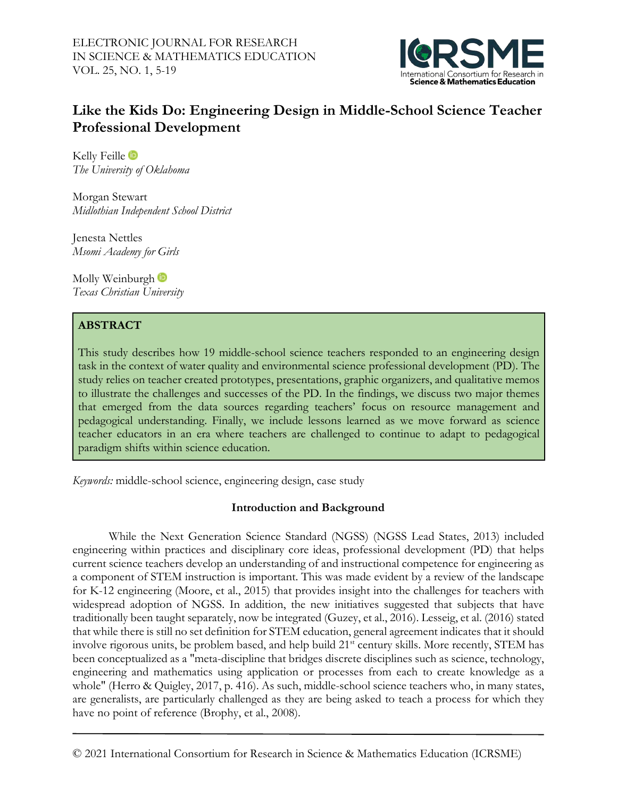

# **Like the Kids Do: Engineering Design in Middle-School Science Teacher Professional Development**

KellyFeille in *The University of Oklahoma*

Morgan Stewart *Midlothian Independent School District*

Jenesta Nettles *Msomi Academy for Girls*

Molly Weinburgh<sup>t</sup> *Texas Christian University*

# **ABSTRACT**

This study describes how 19 middle-school science teachers responded to an engineering design task in the context of water quality and environmental science professional development (PD). The study relies on teacher created prototypes, presentations, graphic organizers, and qualitative memos to illustrate the challenges and successes of the PD. In the findings, we discuss two major themes that emerged from the data sources regarding teachers' focus on resource management and pedagogical understanding. Finally, we include lessons learned as we move forward as science teacher educators in an era where teachers are challenged to continue to adapt to pedagogical paradigm shifts within science education.

*Keywords:* middle-school science, engineering design, case study

# **Introduction and Background**

While the Next Generation Science Standard (NGSS) (NGSS Lead States, 2013) included engineering within practices and disciplinary core ideas, professional development (PD) that helps current science teachers develop an understanding of and instructional competence for engineering as a component of STEM instruction is important. This was made evident by a review of the landscape for K-12 engineering (Moore, et al., 2015) that provides insight into the challenges for teachers with widespread adoption of NGSS. In addition, the new initiatives suggested that subjects that have traditionally been taught separately, now be integrated (Guzey, et al., 2016). Lesseig, et al. (2016) stated that while there is still no set definition for STEM education, general agreement indicates that it should involve rigorous units, be problem based, and help build 21<sup>st</sup> century skills. More recently, STEM has been conceptualized as a "meta-discipline that bridges discrete disciplines such as science, technology, engineering and mathematics using application or processes from each to create knowledge as a whole" (Herro & Quigley, 2017, p. 416). As such, middle-school science teachers who, in many states, are generalists, are particularly challenged as they are being asked to teach a process for which they have no point of reference (Brophy, et al., 2008).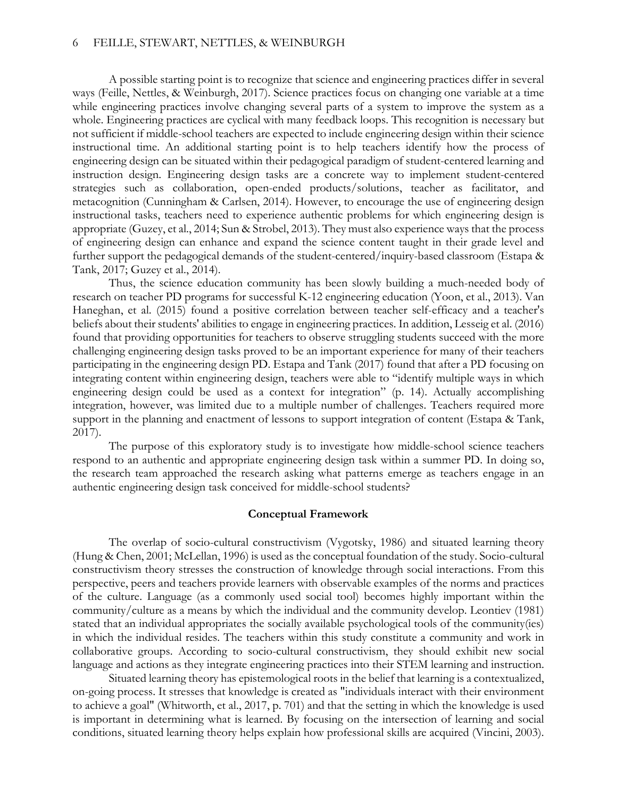A possible starting point is to recognize that science and engineering practices differ in several ways (Feille, Nettles, & Weinburgh, 2017). Science practices focus on changing one variable at a time while engineering practices involve changing several parts of a system to improve the system as a whole. Engineering practices are cyclical with many feedback loops. This recognition is necessary but not sufficient if middle-school teachers are expected to include engineering design within their science instructional time. An additional starting point is to help teachers identify how the process of engineering design can be situated within their pedagogical paradigm of student-centered learning and instruction design. Engineering design tasks are a concrete way to implement student-centered strategies such as collaboration, open-ended products/solutions, teacher as facilitator, and metacognition (Cunningham & Carlsen, 2014). However, to encourage the use of engineering design instructional tasks, teachers need to experience authentic problems for which engineering design is appropriate (Guzey, et al., 2014; Sun & Strobel, 2013). They must also experience ways that the process of engineering design can enhance and expand the science content taught in their grade level and further support the pedagogical demands of the student-centered/inquiry-based classroom (Estapa & Tank, 2017; Guzey et al., 2014).

Thus, the science education community has been slowly building a much-needed body of research on teacher PD programs for successful K-12 engineering education (Yoon, et al., 2013). Van Haneghan, et al. (2015) found a positive correlation between teacher self-efficacy and a teacher's beliefs about their students' abilities to engage in engineering practices. In addition, Lesseig et al. (2016) found that providing opportunities for teachers to observe struggling students succeed with the more challenging engineering design tasks proved to be an important experience for many of their teachers participating in the engineering design PD. Estapa and Tank (2017) found that after a PD focusing on integrating content within engineering design, teachers were able to "identify multiple ways in which engineering design could be used as a context for integration" (p. 14). Actually accomplishing integration, however, was limited due to a multiple number of challenges. Teachers required more support in the planning and enactment of lessons to support integration of content (Estapa & Tank, 2017).

The purpose of this exploratory study is to investigate how middle-school science teachers respond to an authentic and appropriate engineering design task within a summer PD. In doing so, the research team approached the research asking what patterns emerge as teachers engage in an authentic engineering design task conceived for middle-school students?

### **Conceptual Framework**

The overlap of socio-cultural constructivism (Vygotsky, 1986) and situated learning theory (Hung & Chen, 2001; McLellan, 1996) is used as the conceptual foundation of the study. Socio-cultural constructivism theory stresses the construction of knowledge through social interactions. From this perspective, peers and teachers provide learners with observable examples of the norms and practices of the culture. Language (as a commonly used social tool) becomes highly important within the community/culture as a means by which the individual and the community develop. Leontiev (1981) stated that an individual appropriates the socially available psychological tools of the community(ies) in which the individual resides. The teachers within this study constitute a community and work in collaborative groups. According to socio-cultural constructivism, they should exhibit new social language and actions as they integrate engineering practices into their STEM learning and instruction.

Situated learning theory has epistemological roots in the belief that learning is a contextualized, on-going process. It stresses that knowledge is created as "individuals interact with their environment to achieve a goal" (Whitworth, et al., 2017, p. 701) and that the setting in which the knowledge is used is important in determining what is learned. By focusing on the intersection of learning and social conditions, situated learning theory helps explain how professional skills are acquired (Vincini, 2003).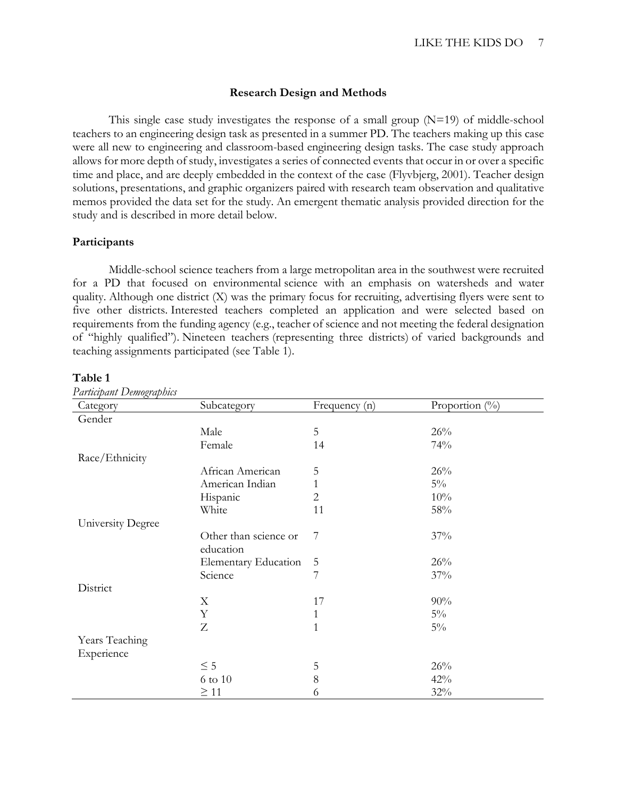### **Research Design and Methods**

This single case study investigates the response of a small group  $(N=19)$  of middle-school teachers to an engineering design task as presented in a summer PD. The teachers making up this case were all new to engineering and classroom-based engineering design tasks. The case study approach allows for more depth of study, investigates a series of connected events that occur in or over a specific time and place, and are deeply embedded in the context of the case (Flyvbjerg, 2001). Teacher design solutions, presentations, and graphic organizers paired with research team observation and qualitative memos provided the data set for the study. An emergent thematic analysis provided direction for the study and is described in more detail below.

### **Participants**

Middle-school science teachers from a large metropolitan area in the southwest were recruited for a PD that focused on environmental science with an emphasis on watersheds and water quality. Although one district (X) was the primary focus for recruiting, advertising flyers were sent to five other districts. Interested teachers completed an application and were selected based on requirements from the funding agency (e.g., teacher of science and not meeting the federal designation of "highly qualified"). Nineteen teachers (representing three districts) of varied backgrounds and teaching assignments participated (see Table 1).

| `able |  |
|-------|--|
|-------|--|

| Category          | Subcategory                 | Frequency (n) | Proportion (%) |
|-------------------|-----------------------------|---------------|----------------|
| Gender            |                             |               |                |
|                   | Male                        | 5             | 26%            |
|                   | Female                      | 14            | 74%            |
| Race/Ethnicity    |                             |               |                |
|                   | African American            | 5             | 26%            |
|                   | American Indian             | $\mathbf{1}$  | $5\%$          |
|                   | Hispanic                    | 2             | 10%            |
|                   | White                       | 11            | 58%            |
| University Degree |                             |               |                |
|                   | Other than science or       | 7             | 37%            |
|                   | education                   |               |                |
|                   | <b>Elementary Education</b> | 5             | 26%            |
|                   | Science                     | 7             | 37%            |
| District          |                             |               |                |
|                   | $\mathbf X$                 | 17            | 90%            |
|                   | Y                           | $\mathbf{1}$  | $5\%$          |
|                   | Z                           | $\mathbf{1}$  | $5\%$          |
| Years Teaching    |                             |               |                |
| Experience        |                             |               |                |
|                   | $\leq$ 5                    | 5             | 26%            |
|                   | 6 to 10                     | $8\,$         | 42%            |
|                   | $\geq$ 11                   | 6             | 32%            |

*Participant Demographics*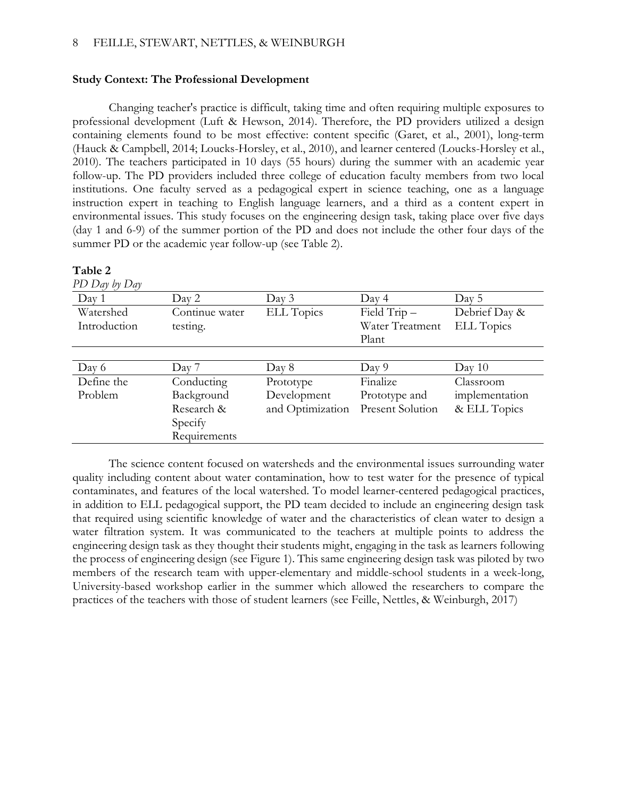# **Study Context: The Professional Development**

Changing teacher's practice is difficult, taking time and often requiring multiple exposures to professional development (Luft & Hewson, 2014). Therefore, the PD providers utilized a design containing elements found to be most effective: content specific (Garet, et al., 2001), long-term (Hauck & Campbell, 2014; Loucks-Horsley, et al., 2010), and learner centered (Loucks-Horsley et al., 2010). The teachers participated in 10 days (55 hours) during the summer with an academic year follow-up. The PD providers included three college of education faculty members from two local institutions. One faculty served as a pedagogical expert in science teaching, one as a language instruction expert in teaching to English language learners, and a third as a content expert in environmental issues. This study focuses on the engineering design task, taking place over five days (day 1 and 6-9) of the summer portion of the PD and does not include the other four days of the summer PD or the academic year follow-up (see Table 2).

# **Table 2**

*PD Day by Day*

| Day 1        | Day 2          | Day 3             | Day 4                   | Day 5             |
|--------------|----------------|-------------------|-------------------------|-------------------|
| Watershed    | Continue water | <b>ELL Topics</b> | Field Trip-             | Debrief Day &     |
| Introduction | testing.       |                   | Water Treatment         | <b>ELL Topics</b> |
|              |                |                   | Plant                   |                   |
|              |                |                   |                         |                   |
| Day 6        | Day 7          | Day 8             | Day 9                   | Day 10            |
| Define the   | Conducting     | Prototype         | Finalize                | Classroom         |
| Problem      | Background     | Development       | Prototype and           | implementation    |
|              | Research &     | and Optimization  | <b>Present Solution</b> | & ELL Topics      |
|              | Specify        |                   |                         |                   |
|              | Requirements   |                   |                         |                   |

The science content focused on watersheds and the environmental issues surrounding water quality including content about water contamination, how to test water for the presence of typical contaminates, and features of the local watershed. To model learner-centered pedagogical practices, in addition to ELL pedagogical support, the PD team decided to include an engineering design task that required using scientific knowledge of water and the characteristics of clean water to design a water filtration system. It was communicated to the teachers at multiple points to address the engineering design task as they thought their students might, engaging in the task as learners following the process of engineering design (see Figure 1). This same engineering design task was piloted by two members of the research team with upper-elementary and middle-school students in a week-long, University-based workshop earlier in the summer which allowed the researchers to compare the practices of the teachers with those of student learners (see Feille, Nettles, & Weinburgh, 2017)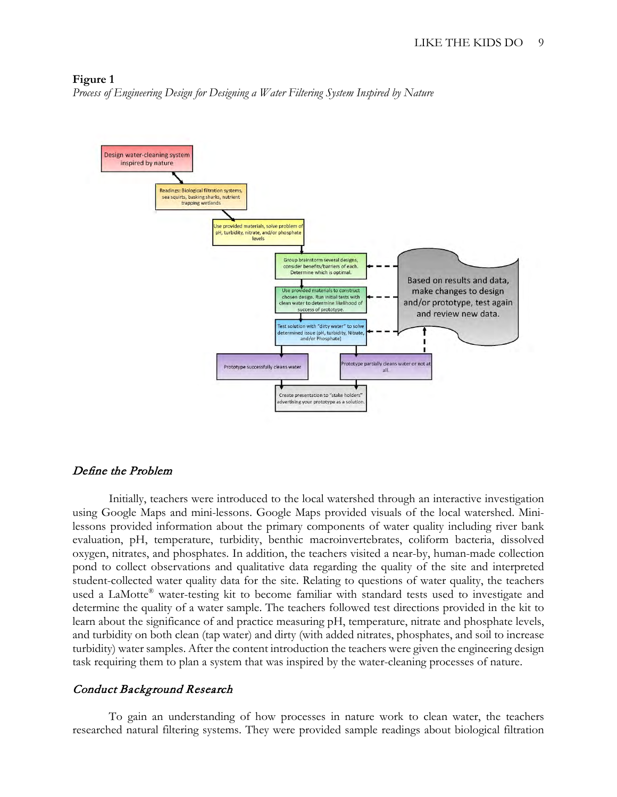#### **Figure 1**

*Process of Engineering Design for Designing a Water Filtering System Inspired by Nature*



### Define the Problem

Initially, teachers were introduced to the local watershed through an interactive investigation using Google Maps and mini-lessons. Google Maps provided visuals of the local watershed. Minilessons provided information about the primary components of water quality including river bank evaluation, pH, temperature, turbidity, benthic macroinvertebrates, coliform bacteria, dissolved oxygen, nitrates, and phosphates. In addition, the teachers visited a near-by, human-made collection pond to collect observations and qualitative data regarding the quality of the site and interpreted student-collected water quality data for the site. Relating to questions of water quality, the teachers used a LaMotte® water-testing kit to become familiar with standard tests used to investigate and determine the quality of a water sample. The teachers followed test directions provided in the kit to learn about the significance of and practice measuring pH, temperature, nitrate and phosphate levels, and turbidity on both clean (tap water) and dirty (with added nitrates, phosphates, and soil to increase turbidity) water samples. After the content introduction the teachers were given the engineering design task requiring them to plan a system that was inspired by the water-cleaning processes of nature.

# Conduct Background Research

To gain an understanding of how processes in nature work to clean water, the teachers researched natural filtering systems. They were provided sample readings about biological filtration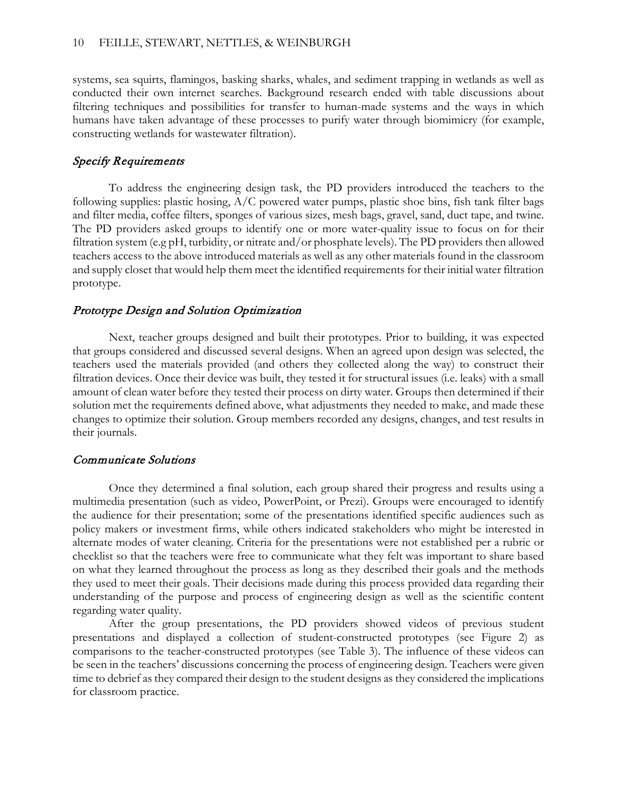systems, sea squirts, flamingos, basking sharks, whales, and sediment trapping in wetlands as well as conducted their own internet searches. Background research ended with table discussions about filtering techniques and possibilities for transfer to human-made systems and the ways in which humans have taken advantage of these processes to purify water through biomimicry (for example, constructing wetlands for wastewater filtration).

# Specify Requirements

To address the engineering design task, the PD providers introduced the teachers to the following supplies: plastic hosing, A/C powered water pumps, plastic shoe bins, fish tank filter bags and filter media, coffee filters, sponges of various sizes, mesh bags, gravel, sand, duct tape, and twine. The PD providers asked groups to identify one or more water-quality issue to focus on for their filtration system (e.g pH, turbidity, or nitrate and/or phosphate levels). The PD providers then allowed teachers access to the above introduced materials as well as any other materials found in the classroom and supply closet that would help them meet the identified requirements for their initial water filtration prototype.

### Prototype Design and Solution Optimization

Next, teacher groups designed and built their prototypes. Prior to building, it was expected that groups considered and discussed several designs. When an agreed upon design was selected, the teachers used the materials provided (and others they collected along the way) to construct their filtration devices. Once their device was built, they tested it for structural issues (i.e. leaks) with a small amount of clean water before they tested their process on dirty water. Groups then determined if their solution met the requirements defined above, what adjustments they needed to make, and made these changes to optimize their solution. Group members recorded any designs, changes, and test results in their journals.

### Communicate Solutions

Once they determined a final solution, each group shared their progress and results using a multimedia presentation (such as video, PowerPoint, or Prezi). Groups were encouraged to identify the audience for their presentation; some of the presentations identified specific audiences such as policy makers or investment firms, while others indicated stakeholders who might be interested in alternate modes of water cleaning. Criteria for the presentations were not established per a rubric or checklist so that the teachers were free to communicate what they felt was important to share based on what they learned throughout the process as long as they described their goals and the methods they used to meet their goals. Their decisions made during this process provided data regarding their understanding of the purpose and process of engineering design as well as the scientific content regarding water quality.

After the group presentations, the PD providers showed videos of previous student presentations and displayed a collection of student-constructed prototypes (see Figure 2) as comparisons to the teacher-constructed prototypes (see Table 3). The influence of these videos can be seen in the teachers' discussions concerning the process of engineering design. Teachers were given time to debrief as they compared their design to the student designs as they considered the implications for classroom practice.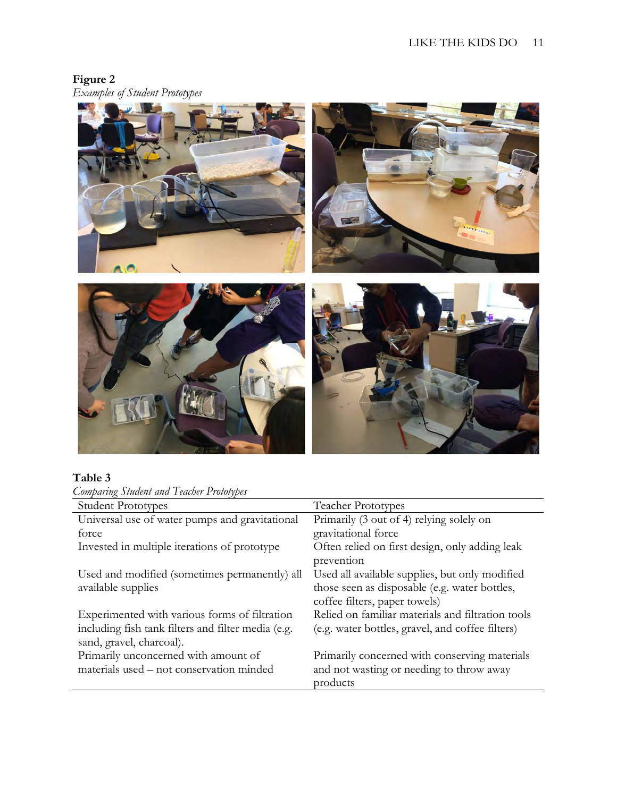# **Figure 2** *Examples of Student Prototypes*



# **Table 3**

| Comparing Student and Teacher Prototypes |  |
|------------------------------------------|--|
|------------------------------------------|--|

| <b>Student Prototypes</b>                          | <b>Teacher Prototypes</b>                         |
|----------------------------------------------------|---------------------------------------------------|
| Universal use of water pumps and gravitational     | Primarily (3 out of 4) relying solely on          |
| force                                              | gravitational force                               |
| Invested in multiple iterations of prototype       | Often relied on first design, only adding leak    |
|                                                    | prevention                                        |
| Used and modified (sometimes permanently) all      | Used all available supplies, but only modified    |
| available supplies                                 | those seen as disposable (e.g. water bottles,     |
|                                                    | coffee filters, paper towels)                     |
| Experimented with various forms of filtration      | Relied on familiar materials and filtration tools |
| including fish tank filters and filter media (e.g. | (e.g. water bottles, gravel, and coffee filters)  |
| sand, gravel, charcoal).                           |                                                   |
| Primarily unconcerned with amount of               | Primarily concerned with conserving materials     |
| materials used – not conservation minded           | and not wasting or needing to throw away          |
|                                                    | products                                          |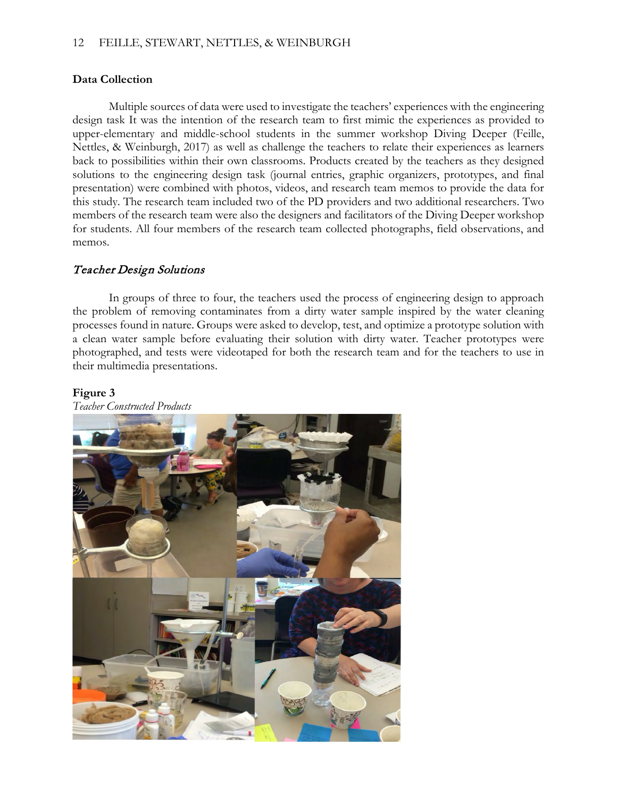### 12 FEILLE, STEWART, NETTLES, & WEINBURGH

### **Data Collection**

Multiple sources of data were used to investigate the teachers' experiences with the engineering design task It was the intention of the research team to first mimic the experiences as provided to upper-elementary and middle-school students in the summer workshop Diving Deeper (Feille, Nettles, & Weinburgh, 2017) as well as challenge the teachers to relate their experiences as learners back to possibilities within their own classrooms. Products created by the teachers as they designed solutions to the engineering design task (journal entries, graphic organizers, prototypes, and final presentation) were combined with photos, videos, and research team memos to provide the data for this study. The research team included two of the PD providers and two additional researchers. Two members of the research team were also the designers and facilitators of the Diving Deeper workshop for students. All four members of the research team collected photographs, field observations, and memos.

# Teacher Design Solutions

In groups of three to four, the teachers used the process of engineering design to approach the problem of removing contaminates from a dirty water sample inspired by the water cleaning processes found in nature. Groups were asked to develop, test, and optimize a prototype solution with a clean water sample before evaluating their solution with dirty water. Teacher prototypes were photographed, and tests were videotaped for both the research team and for the teachers to use in their multimedia presentations.

### **Figure 3**



*Teacher Constructed Products*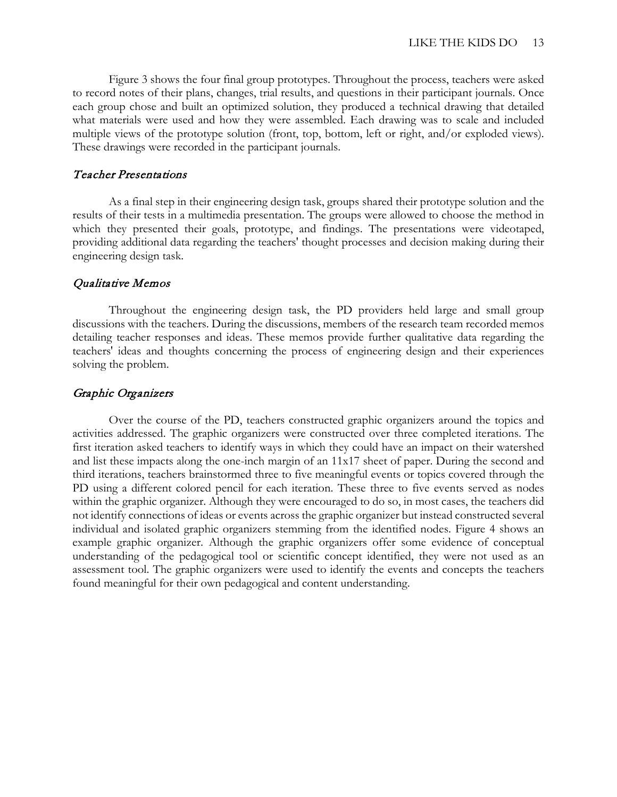Figure 3 shows the four final group prototypes. Throughout the process, teachers were asked to record notes of their plans, changes, trial results, and questions in their participant journals. Once each group chose and built an optimized solution, they produced a technical drawing that detailed what materials were used and how they were assembled. Each drawing was to scale and included multiple views of the prototype solution (front, top, bottom, left or right, and/or exploded views). These drawings were recorded in the participant journals.

# Teacher Presentations

As a final step in their engineering design task, groups shared their prototype solution and the results of their tests in a multimedia presentation. The groups were allowed to choose the method in which they presented their goals, prototype, and findings. The presentations were videotaped, providing additional data regarding the teachers' thought processes and decision making during their engineering design task.

# Qualitative Memos

Throughout the engineering design task, the PD providers held large and small group discussions with the teachers. During the discussions, members of the research team recorded memos detailing teacher responses and ideas. These memos provide further qualitative data regarding the teachers' ideas and thoughts concerning the process of engineering design and their experiences solving the problem.

# Graphic Organizers

Over the course of the PD, teachers constructed graphic organizers around the topics and activities addressed. The graphic organizers were constructed over three completed iterations. The first iteration asked teachers to identify ways in which they could have an impact on their watershed and list these impacts along the one-inch margin of an 11x17 sheet of paper. During the second and third iterations, teachers brainstormed three to five meaningful events or topics covered through the PD using a different colored pencil for each iteration. These three to five events served as nodes within the graphic organizer. Although they were encouraged to do so, in most cases, the teachers did not identify connections of ideas or events across the graphic organizer but instead constructed several individual and isolated graphic organizers stemming from the identified nodes. Figure 4 shows an example graphic organizer. Although the graphic organizers offer some evidence of conceptual understanding of the pedagogical tool or scientific concept identified, they were not used as an assessment tool. The graphic organizers were used to identify the events and concepts the teachers found meaningful for their own pedagogical and content understanding.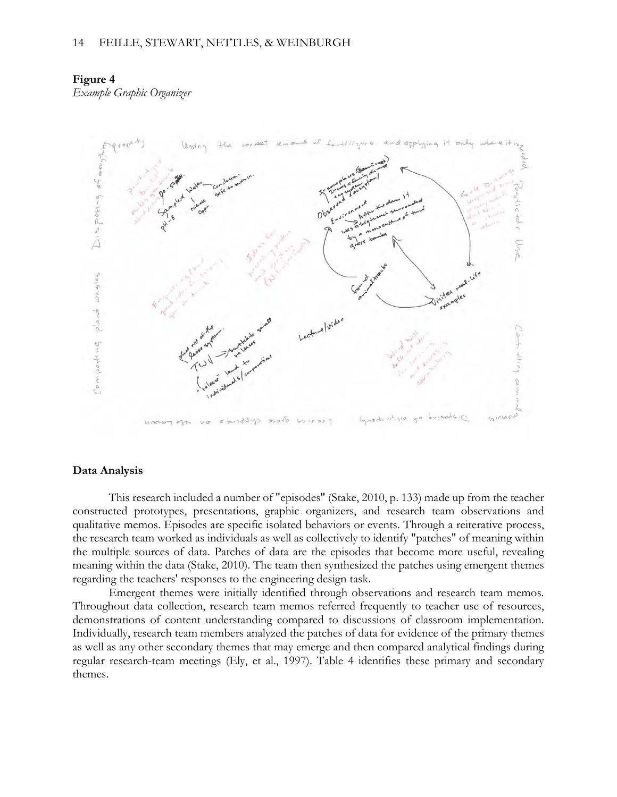#### 14 FEILLE, STEWART, NETTLES, & WEINBURGH

### **Figure 4**

*Example Graphic Organizer*



#### **Data Analysis**

This research included a number of "episodes" (Stake, 2010, p. 133) made up from the teacher constructed prototypes, presentations, graphic organizers, and research team observations and qualitative memos. Episodes are specific isolated behaviors or events. Through a reiterative process, the research team worked as individuals as well as collectively to identify "patches" of meaning within the multiple sources of data. Patches of data are the episodes that become more useful, revealing meaning within the data (Stake, 2010). The team then synthesized the patches using emergent themes regarding the teachers' responses to the engineering design task.

Emergent themes were initially identified through observations and research team memos. Throughout data collection, research team memos referred frequently to teacher use of resources, demonstrations of content understanding compared to discussions of classroom implementation. Individually, research team members analyzed the patches of data for evidence of the primary themes as well as any other secondary themes that may emerge and then compared analytical findings during regular research-team meetings (Ely, et al., 1997). Table 4 identifies these primary and secondary themes.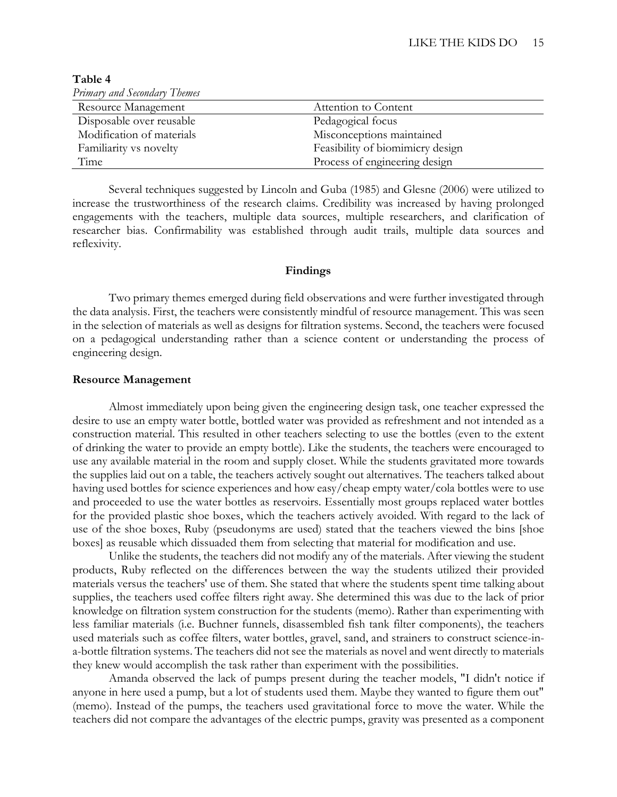| Primary and Secondary Themes |                                  |
|------------------------------|----------------------------------|
| Resource Management          | Attention to Content             |
| Disposable over reusable     | Pedagogical focus                |
| Modification of materials    | Misconceptions maintained        |
| Familiarity vs novelty       | Feasibility of biomimicry design |
| Time                         | Process of engineering design    |

**Table 4**

Several techniques suggested by Lincoln and Guba (1985) and Glesne (2006) were utilized to increase the trustworthiness of the research claims. Credibility was increased by having prolonged engagements with the teachers, multiple data sources, multiple researchers, and clarification of researcher bias. Confirmability was established through audit trails, multiple data sources and reflexivity.

### **Findings**

Two primary themes emerged during field observations and were further investigated through the data analysis. First, the teachers were consistently mindful of resource management. This was seen in the selection of materials as well as designs for filtration systems. Second, the teachers were focused on a pedagogical understanding rather than a science content or understanding the process of engineering design.

#### **Resource Management**

Almost immediately upon being given the engineering design task, one teacher expressed the desire to use an empty water bottle, bottled water was provided as refreshment and not intended as a construction material. This resulted in other teachers selecting to use the bottles (even to the extent of drinking the water to provide an empty bottle). Like the students, the teachers were encouraged to use any available material in the room and supply closet. While the students gravitated more towards the supplies laid out on a table, the teachers actively sought out alternatives. The teachers talked about having used bottles for science experiences and how easy/cheap empty water/cola bottles were to use and proceeded to use the water bottles as reservoirs. Essentially most groups replaced water bottles for the provided plastic shoe boxes, which the teachers actively avoided. With regard to the lack of use of the shoe boxes, Ruby (pseudonyms are used) stated that the teachers viewed the bins [shoe boxes] as reusable which dissuaded them from selecting that material for modification and use.

Unlike the students, the teachers did not modify any of the materials. After viewing the student products, Ruby reflected on the differences between the way the students utilized their provided materials versus the teachers' use of them. She stated that where the students spent time talking about supplies, the teachers used coffee filters right away. She determined this was due to the lack of prior knowledge on filtration system construction for the students (memo). Rather than experimenting with less familiar materials (i.e. Buchner funnels, disassembled fish tank filter components), the teachers used materials such as coffee filters, water bottles, gravel, sand, and strainers to construct science-ina-bottle filtration systems. The teachers did not see the materials as novel and went directly to materials they knew would accomplish the task rather than experiment with the possibilities.

Amanda observed the lack of pumps present during the teacher models, "I didn't notice if anyone in here used a pump, but a lot of students used them. Maybe they wanted to figure them out" (memo). Instead of the pumps, the teachers used gravitational force to move the water. While the teachers did not compare the advantages of the electric pumps, gravity was presented as a component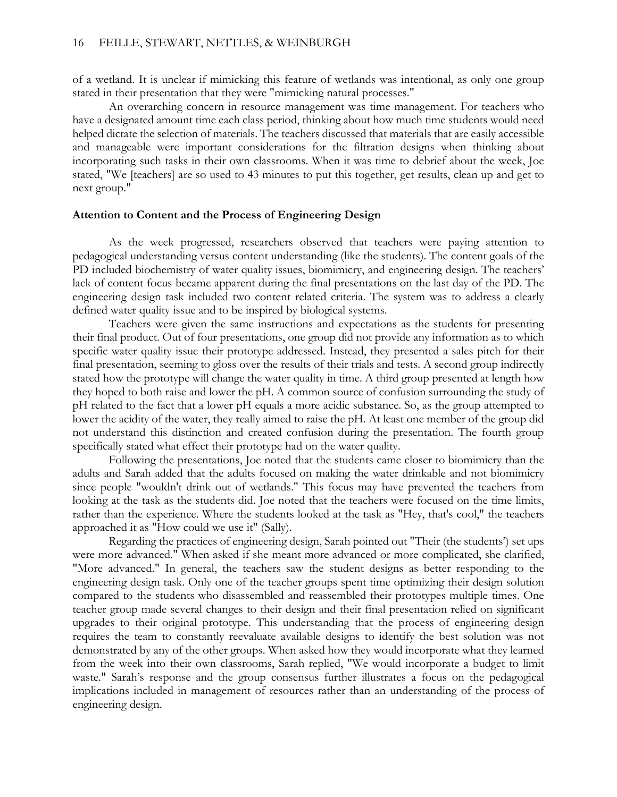of a wetland. It is unclear if mimicking this feature of wetlands was intentional, as only one group stated in their presentation that they were "mimicking natural processes."

An overarching concern in resource management was time management. For teachers who have a designated amount time each class period, thinking about how much time students would need helped dictate the selection of materials. The teachers discussed that materials that are easily accessible and manageable were important considerations for the filtration designs when thinking about incorporating such tasks in their own classrooms. When it was time to debrief about the week, Joe stated, "We [teachers] are so used to 43 minutes to put this together, get results, clean up and get to next group."

### **Attention to Content and the Process of Engineering Design**

As the week progressed, researchers observed that teachers were paying attention to pedagogical understanding versus content understanding (like the students). The content goals of the PD included biochemistry of water quality issues, biomimicry, and engineering design. The teachers' lack of content focus became apparent during the final presentations on the last day of the PD. The engineering design task included two content related criteria. The system was to address a clearly defined water quality issue and to be inspired by biological systems.

Teachers were given the same instructions and expectations as the students for presenting their final product. Out of four presentations, one group did not provide any information as to which specific water quality issue their prototype addressed. Instead, they presented a sales pitch for their final presentation, seeming to gloss over the results of their trials and tests. A second group indirectly stated how the prototype will change the water quality in time. A third group presented at length how they hoped to both raise and lower the pH. A common source of confusion surrounding the study of pH related to the fact that a lower pH equals a more acidic substance. So, as the group attempted to lower the acidity of the water, they really aimed to raise the pH. At least one member of the group did not understand this distinction and created confusion during the presentation. The fourth group specifically stated what effect their prototype had on the water quality.

Following the presentations, Joe noted that the students came closer to biomimicry than the adults and Sarah added that the adults focused on making the water drinkable and not biomimicry since people "wouldn't drink out of wetlands." This focus may have prevented the teachers from looking at the task as the students did. Joe noted that the teachers were focused on the time limits, rather than the experience. Where the students looked at the task as "Hey, that's cool," the teachers approached it as "How could we use it" (Sally).

Regarding the practices of engineering design, Sarah pointed out "Their (the students') set ups were more advanced." When asked if she meant more advanced or more complicated, she clarified, "More advanced." In general, the teachers saw the student designs as better responding to the engineering design task. Only one of the teacher groups spent time optimizing their design solution compared to the students who disassembled and reassembled their prototypes multiple times. One teacher group made several changes to their design and their final presentation relied on significant upgrades to their original prototype. This understanding that the process of engineering design requires the team to constantly reevaluate available designs to identify the best solution was not demonstrated by any of the other groups. When asked how they would incorporate what they learned from the week into their own classrooms, Sarah replied, "We would incorporate a budget to limit waste." Sarah's response and the group consensus further illustrates a focus on the pedagogical implications included in management of resources rather than an understanding of the process of engineering design.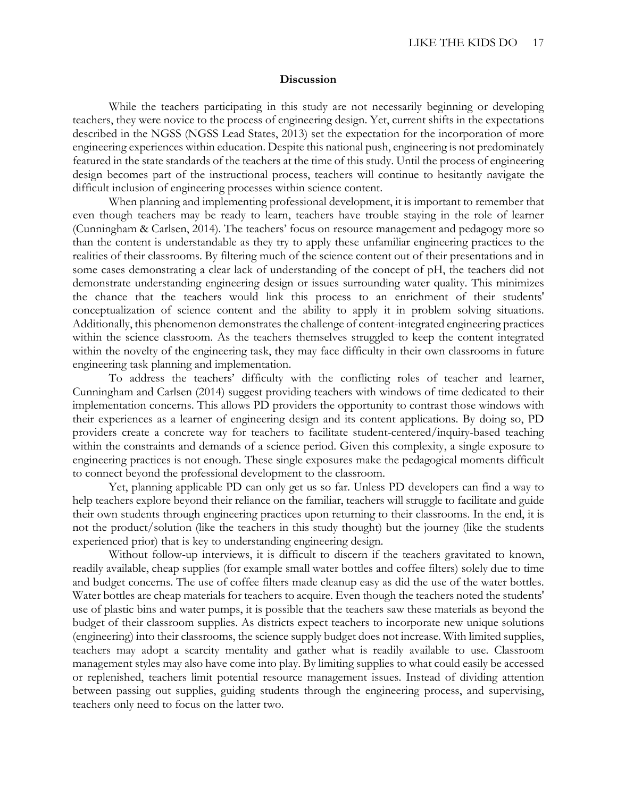#### **Discussion**

While the teachers participating in this study are not necessarily beginning or developing teachers, they were novice to the process of engineering design. Yet, current shifts in the expectations described in the NGSS (NGSS Lead States, 2013) set the expectation for the incorporation of more engineering experiences within education. Despite this national push, engineering is not predominately featured in the state standards of the teachers at the time of this study. Until the process of engineering design becomes part of the instructional process, teachers will continue to hesitantly navigate the difficult inclusion of engineering processes within science content.

When planning and implementing professional development, it is important to remember that even though teachers may be ready to learn, teachers have trouble staying in the role of learner (Cunningham & Carlsen, 2014). The teachers' focus on resource management and pedagogy more so than the content is understandable as they try to apply these unfamiliar engineering practices to the realities of their classrooms. By filtering much of the science content out of their presentations and in some cases demonstrating a clear lack of understanding of the concept of pH, the teachers did not demonstrate understanding engineering design or issues surrounding water quality. This minimizes the chance that the teachers would link this process to an enrichment of their students' conceptualization of science content and the ability to apply it in problem solving situations. Additionally, this phenomenon demonstrates the challenge of content-integrated engineering practices within the science classroom. As the teachers themselves struggled to keep the content integrated within the novelty of the engineering task, they may face difficulty in their own classrooms in future engineering task planning and implementation.

To address the teachers' difficulty with the conflicting roles of teacher and learner, Cunningham and Carlsen (2014) suggest providing teachers with windows of time dedicated to their implementation concerns. This allows PD providers the opportunity to contrast those windows with their experiences as a learner of engineering design and its content applications. By doing so, PD providers create a concrete way for teachers to facilitate student-centered/inquiry-based teaching within the constraints and demands of a science period. Given this complexity, a single exposure to engineering practices is not enough. These single exposures make the pedagogical moments difficult to connect beyond the professional development to the classroom.

Yet, planning applicable PD can only get us so far. Unless PD developers can find a way to help teachers explore beyond their reliance on the familiar, teachers will struggle to facilitate and guide their own students through engineering practices upon returning to their classrooms. In the end, it is not the product/solution (like the teachers in this study thought) but the journey (like the students experienced prior) that is key to understanding engineering design.

Without follow-up interviews, it is difficult to discern if the teachers gravitated to known, readily available, cheap supplies (for example small water bottles and coffee filters) solely due to time and budget concerns. The use of coffee filters made cleanup easy as did the use of the water bottles. Water bottles are cheap materials for teachers to acquire. Even though the teachers noted the students' use of plastic bins and water pumps, it is possible that the teachers saw these materials as beyond the budget of their classroom supplies. As districts expect teachers to incorporate new unique solutions (engineering) into their classrooms, the science supply budget does not increase. With limited supplies, teachers may adopt a scarcity mentality and gather what is readily available to use. Classroom management styles may also have come into play. By limiting supplies to what could easily be accessed or replenished, teachers limit potential resource management issues. Instead of dividing attention between passing out supplies, guiding students through the engineering process, and supervising, teachers only need to focus on the latter two.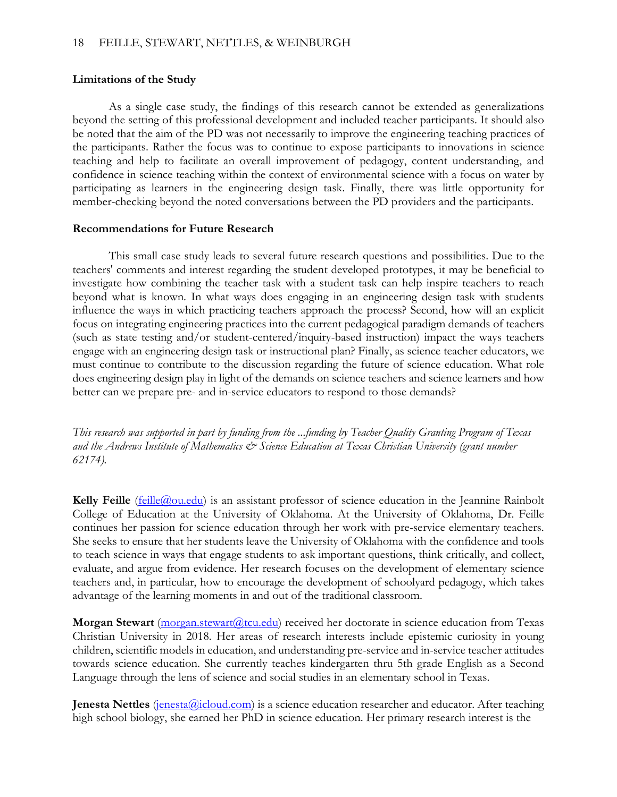# **Limitations of the Study**

As a single case study, the findings of this research cannot be extended as generalizations beyond the setting of this professional development and included teacher participants. It should also be noted that the aim of the PD was not necessarily to improve the engineering teaching practices of the participants. Rather the focus was to continue to expose participants to innovations in science teaching and help to facilitate an overall improvement of pedagogy, content understanding, and confidence in science teaching within the context of environmental science with a focus on water by participating as learners in the engineering design task. Finally, there was little opportunity for member-checking beyond the noted conversations between the PD providers and the participants.

# **Recommendations for Future Research**

This small case study leads to several future research questions and possibilities. Due to the teachers' comments and interest regarding the student developed prototypes, it may be beneficial to investigate how combining the teacher task with a student task can help inspire teachers to reach beyond what is known. In what ways does engaging in an engineering design task with students influence the ways in which practicing teachers approach the process? Second, how will an explicit focus on integrating engineering practices into the current pedagogical paradigm demands of teachers (such as state testing and/or student-centered/inquiry-based instruction) impact the ways teachers engage with an engineering design task or instructional plan? Finally, as science teacher educators, we must continue to contribute to the discussion regarding the future of science education. What role does engineering design play in light of the demands on science teachers and science learners and how better can we prepare pre- and in-service educators to respond to those demands?

*This research was supported in part by funding from the ...funding by Teacher Quality Granting Program of Texas and the Andrews Institute of Mathematics & Science Education at Texas Christian University (grant number 62174).* 

**Kelly Feille** (feille (*Q*) ou.edu) is an assistant professor of science education in the Jeannine Rainbolt College of Education at the University of Oklahoma. At the University of Oklahoma, Dr. Feille continues her passion for science education through her work with pre-service elementary teachers. She seeks to ensure that her students leave the University of Oklahoma with the confidence and tools to teach science in ways that engage students to ask important questions, think critically, and collect, evaluate, and argue from evidence. Her research focuses on the development of elementary science teachers and, in particular, how to encourage the development of schoolyard pedagogy, which takes advantage of the learning moments in and out of the traditional classroom.

**Morgan Stewart** (morgan.stewart(a)tcu.edu) received her doctorate in science education from Texas Christian University in 2018. Her areas of research interests include epistemic curiosity in young children, scientific models in education, and understanding pre-service and in-service teacher attitudes towards science education. She currently teaches kindergarten thru 5th grade English as a Second Language through the lens of science and social studies in an elementary school in Texas.

**Jenesta Nettles** (*jenesta@icloud.com*) is a science education researcher and educator. After teaching high school biology, she earned her PhD in science education. Her primary research interest is the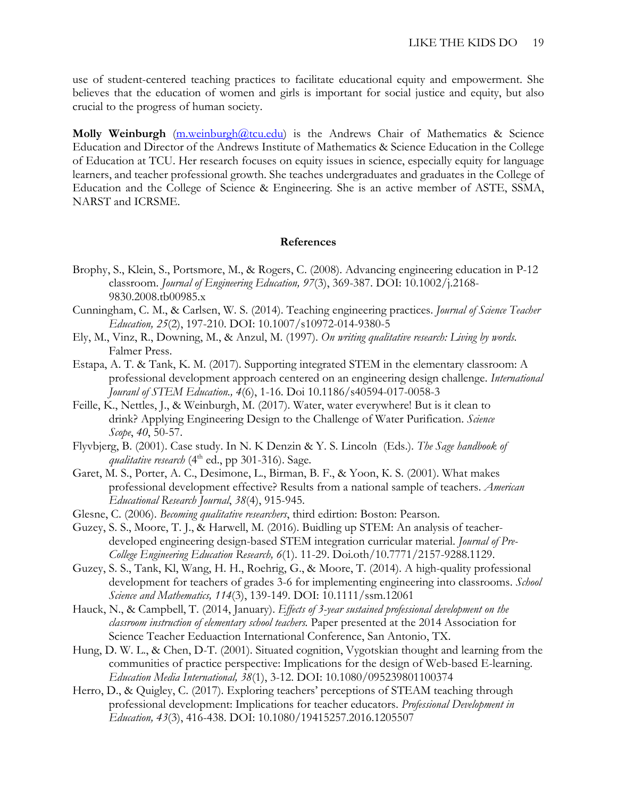use of student-centered teaching practices to facilitate educational equity and empowerment. She believes that the education of women and girls is important for social justice and equity, but also crucial to the progress of human society.

**Molly Weinburgh** [\(m.weinburgh@tcu.edu\)](mailto:m.weinburgh@tcu.edu) is the Andrews Chair of Mathematics & Science Education and Director of the Andrews Institute of Mathematics & Science Education in the College of Education at TCU. Her research focuses on equity issues in science, especially equity for language learners, and teacher professional growth. She teaches undergraduates and graduates in the College of Education and the College of Science & Engineering. She is an active member of ASTE, SSMA, NARST and ICRSME.

### **References**

- Brophy, S., Klein, S., Portsmore, M., & Rogers, C. (2008). Advancing engineering education in P-12 classroom. *Journal of Engineering Education, 97*(3), 369-387. DOI: 10.1002/j.2168- 9830.2008.tb00985.x
- Cunningham, C. M., & Carlsen, W. S. (2014). Teaching engineering practices. *Journal of Science Teacher Education, 25*(2), 197-210. DOI: 10.1007/s10972-014-9380-5
- Ely, M., Vinz, R., Downing, M., & Anzul, M. (1997). *On writing qualitative research: Living by words.* Falmer Press.
- Estapa, A. T. & Tank, K. M. (2017). Supporting integrated STEM in the elementary classroom: A professional development approach centered on an engineering design challenge. *International Jouranl of STEM Education., 4*(6), 1-16. Doi 10.1186/s40594-017-0058-3
- Feille, K., Nettles, J., & Weinburgh, M. (2017). Water, water everywhere! But is it clean to drink? Applying Engineering Design to the Challenge of Water Purification. *Science Scope*, *40*, 50-57.
- Flyvbjerg, B. (2001). Case study. In N. K Denzin & Y. S. Lincoln (Eds.). *The Sage handbook of qualitative research* (4<sup>th</sup> ed., pp 301-316). Sage.
- Garet, M. S., Porter, А. С., Desimone, L., Birman, В. F., & Yoon, К. S. (2001). What makes professional development effective? Results from a national sample of teachers. *American Educational Research Journal*, *38*(4), 915-945.
- Glesne, C. (2006). *Becoming qualitative researchers*, third edirtion: Boston: Pearson.
- Guzey, S. S., Moore, T. J., & Harwell, M. (2016). Buidling up STEM: An analysis of teacherdeveloped engineering design-based STEM integration curricular material. *Journal of Pre-College Engineering Education Research, 6*(1). 11-29. Doi.oth/10.7771/2157-9288.1129.
- Guzey, S. S., Tank, Kl, Wang, H. H., Roehrig, G., & Moore, T. (2014). A high-quality professional development for teachers of grades 3-6 for implementing engineering into classrooms. *School Science and Mathematics, 114*(3), 139-149. DOI: 10.1111/ssm.12061
- Hauck, N., & Campbell, T. (2014, January). *Effects of 3-year sustained professional development on the classroom instruction of elementary school teachers.* Paper presented at the 2014 Association for Science Teacher Eeduaction International Conference, San Antonio, TX.
- Hung, D. W. L., & Chen, D-T. (2001). Situated cognition, Vygotskian thought and learning from the communities of practice perspective: Implications for the design of Web-based E-learning. *Education Media International, 38*(1), 3-12. DOI: 10.1080/095239801100374
- Herro, D., & Quigley, C. (2017). Exploring teachers' perceptions of STEAM teaching through professional development: Implications for teacher educators. *Professional Development in Education, 43*(3), 416-438. DOI: 10.1080/19415257.2016.1205507